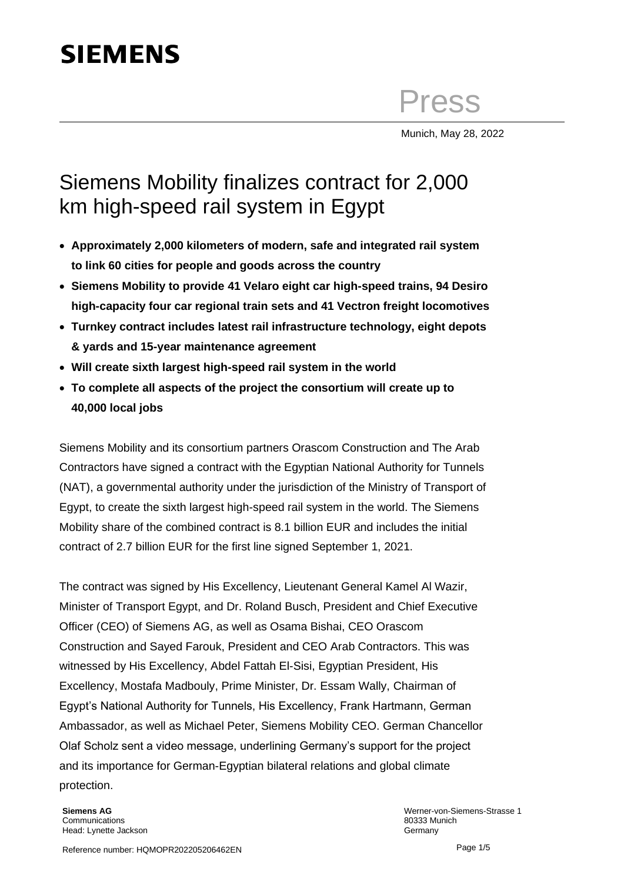# **SIEMENS**

Press

Munich, May 28, 2022

## Siemens Mobility finalizes contract for 2,000 km high-speed rail system in Egypt

- **Approximately 2,000 kilometers of modern, safe and integrated rail system to link 60 cities for people and goods across the country**
- **Siemens Mobility to provide 41 Velaro eight car high-speed trains, 94 Desiro high-capacity four car regional train sets and 41 Vectron freight locomotives**
- **Turnkey contract includes latest rail infrastructure technology, eight depots & yards and 15-year maintenance agreement**
- **Will create sixth largest high-speed rail system in the world**
- **To complete all aspects of the project the consortium will create up to 40,000 local jobs**

Siemens Mobility and its consortium partners Orascom Construction and The Arab Contractors have signed a contract with the Egyptian National Authority for Tunnels (NAT), a governmental authority under the jurisdiction of the Ministry of Transport of Egypt, to create the sixth largest high-speed rail system in the world. The Siemens Mobility share of the combined contract is 8.1 billion EUR and includes the initial contract of 2.7 billion EUR for the first line signed September 1, 2021.

The contract was signed by His Excellency, Lieutenant General Kamel Al Wazir, Minister of Transport Egypt, and Dr. Roland Busch, President and Chief Executive Officer (CEO) of Siemens AG, as well as Osama Bishai, CEO Orascom Construction and Sayed Farouk, President and CEO Arab Contractors. This was witnessed by His Excellency, Abdel Fattah El-Sisi, Egyptian President, His Excellency, Mostafa Madbouly, Prime Minister, Dr. Essam Wally, Chairman of Egypt's National Authority for Tunnels, His Excellency, Frank Hartmann, German Ambassador, as well as Michael Peter, Siemens Mobility CEO. German Chancellor Olaf Scholz sent a video message, underlining Germany's support for the project and its importance for German-Egyptian bilateral relations and global climate protection.

**Siemens AG Communications** Head: Lynette Jackson Werner-von-Siemens-Strasse 1 80333 Munich Germany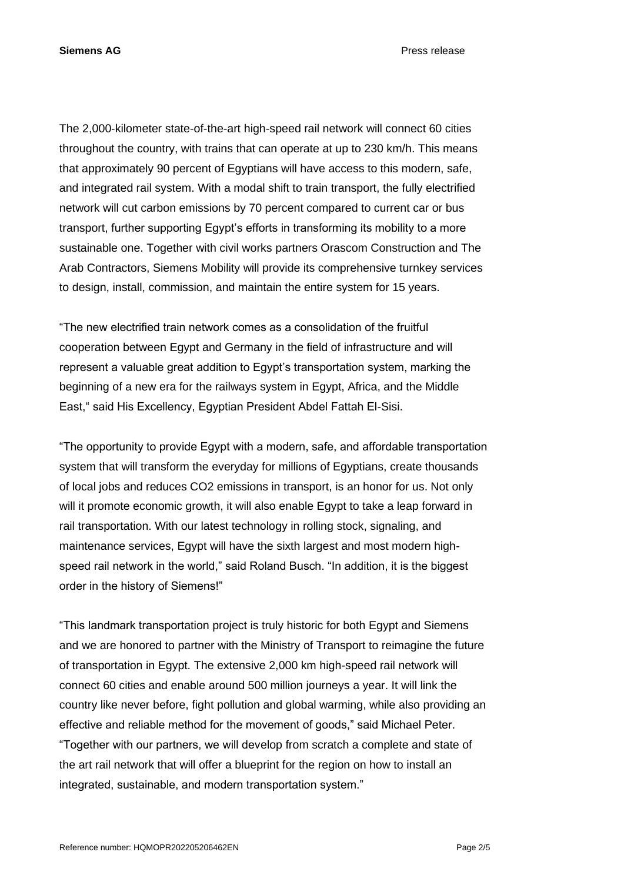**Siemens AG** Press release

The 2,000-kilometer state-of-the-art high-speed rail network will connect 60 cities throughout the country, with trains that can operate at up to 230 km/h. This means that approximately 90 percent of Egyptians will have access to this modern, safe, and integrated rail system. With a modal shift to train transport, the fully electrified network will cut carbon emissions by 70 percent compared to current car or bus transport, further supporting Egypt's efforts in transforming its mobility to a more sustainable one. Together with civil works partners Orascom Construction and The Arab Contractors, Siemens Mobility will provide its comprehensive turnkey services to design, install, commission, and maintain the entire system for 15 years.

"The new electrified train network comes as a consolidation of the fruitful cooperation between Egypt and Germany in the field of infrastructure and will represent a valuable great addition to Egypt's transportation system, marking the beginning of a new era for the railways system in Egypt, Africa, and the Middle East," said His Excellency, Egyptian President Abdel Fattah El-Sisi.

"The opportunity to provide Egypt with a modern, safe, and affordable transportation system that will transform the everyday for millions of Egyptians, create thousands of local jobs and reduces CO2 emissions in transport, is an honor for us. Not only will it promote economic growth, it will also enable Egypt to take a leap forward in rail transportation. With our latest technology in rolling stock, signaling, and maintenance services, Egypt will have the sixth largest and most modern highspeed rail network in the world," said Roland Busch. "In addition, it is the biggest order in the history of Siemens!"

"This landmark transportation project is truly historic for both Egypt and Siemens and we are honored to partner with the Ministry of Transport to reimagine the future of transportation in Egypt. The extensive 2,000 km high-speed rail network will connect 60 cities and enable around 500 million journeys a year. It will link the country like never before, fight pollution and global warming, while also providing an effective and reliable method for the movement of goods," said Michael Peter. "Together with our partners, we will develop from scratch a complete and state of the art rail network that will offer a blueprint for the region on how to install an integrated, sustainable, and modern transportation system."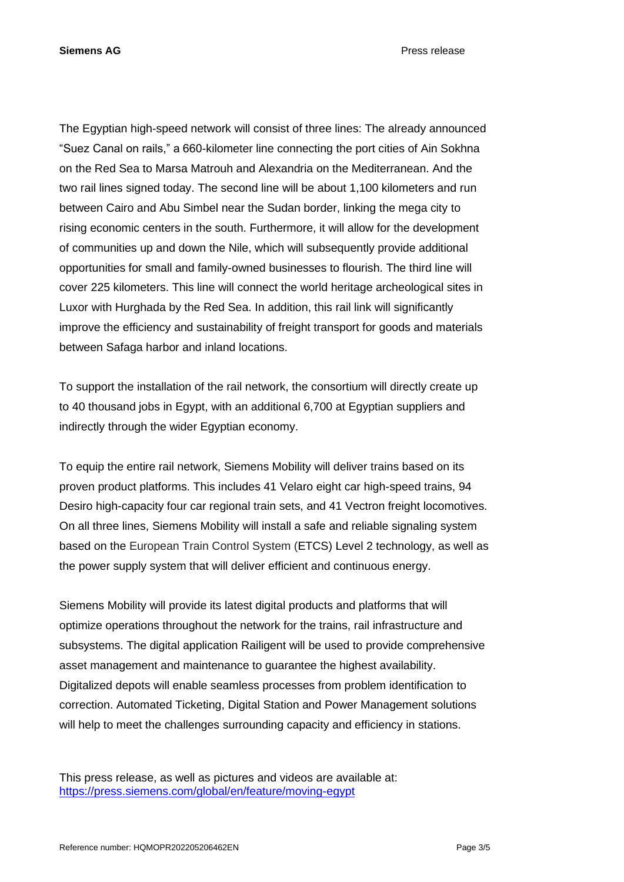The Egyptian high-speed network will consist of three lines: The already announced "Suez Canal on rails," a 660-kilometer line connecting the port cities of Ain Sokhna on the Red Sea to Marsa Matrouh and Alexandria on the Mediterranean. And the two rail lines signed today. The second line will be about 1,100 kilometers and run between Cairo and Abu Simbel near the Sudan border, linking the mega city to rising economic centers in the south. Furthermore, it will allow for the development of communities up and down the Nile, which will subsequently provide additional opportunities for small and family-owned businesses to flourish. The third line will cover 225 kilometers. This line will connect the world heritage archeological sites in Luxor with Hurghada by the Red Sea. In addition, this rail link will significantly improve the efficiency and sustainability of freight transport for goods and materials between Safaga harbor and inland locations.

To support the installation of the rail network, the consortium will directly create up to 40 thousand jobs in Egypt, with an additional 6,700 at Egyptian suppliers and indirectly through the wider Egyptian economy.

To equip the entire rail network, Siemens Mobility will deliver trains based on its proven product platforms. This includes 41 Velaro eight car high-speed trains, 94 Desiro high-capacity four car regional train sets, and 41 Vectron freight locomotives. On all three lines, Siemens Mobility will install a safe and reliable signaling system based on the European Train Control System (ETCS) Level 2 technology, as well as the power supply system that will deliver efficient and continuous energy.

Siemens Mobility will provide its latest digital products and platforms that will optimize operations throughout the network for the trains, rail infrastructure and subsystems. The digital application Railigent will be used to provide comprehensive asset management and maintenance to guarantee the highest availability. Digitalized depots will enable seamless processes from problem identification to correction. Automated Ticketing, Digital Station and Power Management solutions will help to meet the challenges surrounding capacity and efficiency in stations.

This press release, as well as pictures and videos are available at: [https://press.siemens.com/global/en/feature/moving-egypt](https://eur01.safelinks.protection.outlook.com/?url=https%3A%2F%2Fpress.siemens.com%2Fglobal%2Fen%2Ffeature%2Fmoving-egypt&data=04%7C01%7Cchris.mckniff%40siemens.com%7C8c07fac3d5824521e0b508d9420e4366%7C38ae3bcd95794fd4addab42e1495d55a%7C1%7C0%7C637613451331756973%7CUnknown%7CTWFpbGZsb3d8eyJWIjoiMC4wLjAwMDAiLCJQIjoiV2luMzIiLCJBTiI6Ik1haWwiLCJXVCI6Mn0%3D%7C2000&sdata=hPEm5GU01CunwOScOyjWYhtv0%2F7MKw7URmIosY6sFng%3D&reserved=0)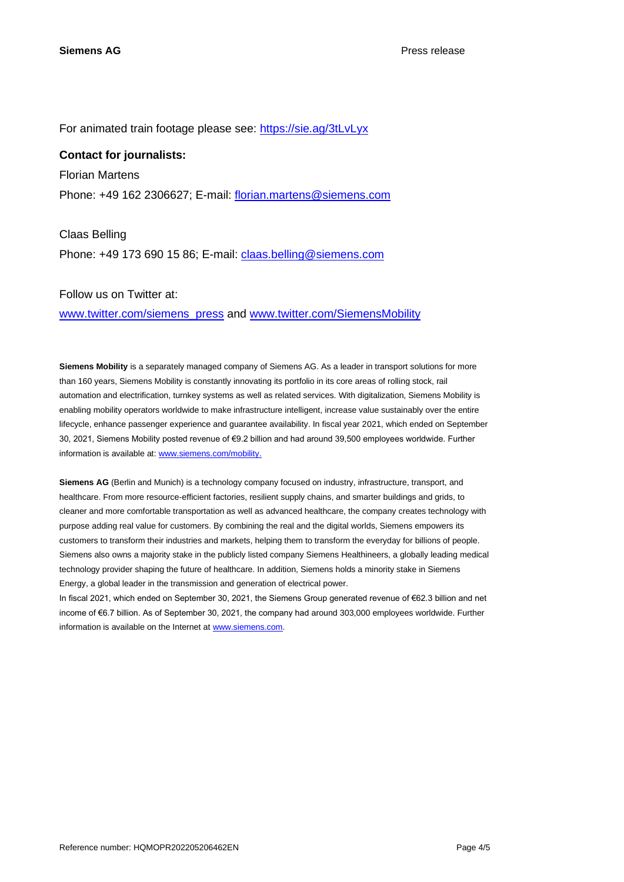For animated train footage please see: [https://sie.ag/3tLvLyx](https://eur01.safelinks.protection.outlook.com/?url=https%3A%2F%2Fsie.ag%2F3tLvLyx&data=04%7C01%7Cchris.mckniff%40siemens.com%7Cfffc2faa3c7746ea025508d9155bef08%7C38ae3bcd95794fd4addab42e1495d55a%7C1%7C0%7C637564306898070829%7CUnknown%7CTWFpbGZsb3d8eyJWIjoiMC4wLjAwMDAiLCJQIjoiV2luMzIiLCJBTiI6Ik1haWwiLCJXVCI6Mn0%3D%7C1000&sdata=%2BQNkmZU7AWGrzxhspvnnnfM6QCfgCzaAehOLDck3gqM%3D&reserved=0)

#### **Contact for journalists:**

Florian Martens Phone: +49 162 2306627; E-mail: [florian.martens@siemens.com](mailto:florian.martens@siemens.com)

Claas Belling Phone: +49 173 690 15 86; E-mail: [claas.belling@siemens.com](mailto:claas.belling@siemens.com)

### Follow us on Twitter at:

[www.twitter.com/siemens\\_press](http://www.twitter.com/siemens_press) and [www.twitter.com/SiemensMobility](http://www.twitter.com/SiemensMobility)

**Siemens Mobility** is a separately managed company of Siemens AG. As a leader in transport solutions for more than 160 years, Siemens Mobility is constantly innovating its portfolio in its core areas of rolling stock, rail automation and electrification, turnkey systems as well as related services. With digitalization, Siemens Mobility is enabling mobility operators worldwide to make infrastructure intelligent, increase value sustainably over the entire lifecycle, enhance passenger experience and guarantee availability. In fiscal year 2021, which ended on September 30, 2021, Siemens Mobility posted revenue of €9.2 billion and had around 39,500 employees worldwide. Further information is available at: [www.siemens.com/mobility.](http://www.siemens.com/mobility)

**Siemens AG** (Berlin and Munich) is a technology company focused on industry, infrastructure, transport, and healthcare. From more resource-efficient factories, resilient supply chains, and smarter buildings and grids, to cleaner and more comfortable transportation as well as advanced healthcare, the company creates technology with purpose adding real value for customers. By combining the real and the digital worlds, Siemens empowers its customers to transform their industries and markets, helping them to transform the everyday for billions of people. Siemens also owns a majority stake in the publicly listed company Siemens Healthineers, a globally leading medical technology provider shaping the future of healthcare. In addition, Siemens holds a minority stake in Siemens Energy, a global leader in the transmission and generation of electrical power.

In fiscal 2021, which ended on September 30, 2021, the Siemens Group generated revenue of €62.3 billion and net income of €6.7 billion. As of September 30, 2021, the company had around 303,000 employees worldwide. Further information is available on the Internet at [www.siemens.com.](http://www.siemens.com/)